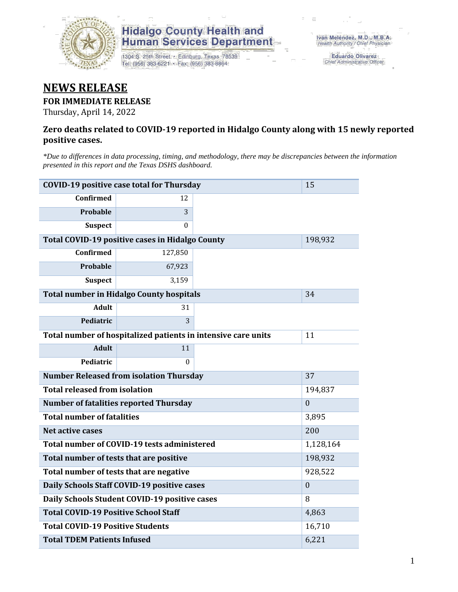

## **Hidalgo County Health and<br>Human Services Department**

1304 S. 25th Street · Edinburg, Texas 78539 Tel: (956) 383-6221 · Fax: (956) 383-8864

Eduardo Olivarez Chief Administrative Officer

## **NEWS RELEASE**

#### **FOR IMMEDIATE RELEASE**

Thursday, April 14, 2022

#### **Zero deaths related to COVID-19 reported in Hidalgo County along with 15 newly reported positive cases.**

*\*Due to differences in data processing, timing, and methodology, there may be discrepancies between the information presented in this report and the Texas DSHS dashboard.*

| <b>COVID-19 positive case total for Thursday</b>              | 15               |         |  |
|---------------------------------------------------------------|------------------|---------|--|
| <b>Confirmed</b>                                              | 12               |         |  |
| Probable                                                      | 3                |         |  |
| <b>Suspect</b>                                                | $\Omega$         |         |  |
| Total COVID-19 positive cases in Hidalgo County               |                  | 198,932 |  |
| <b>Confirmed</b>                                              | 127,850          |         |  |
| <b>Probable</b>                                               | 67,923           |         |  |
| <b>Suspect</b>                                                | 3,159            |         |  |
| <b>Total number in Hidalgo County hospitals</b>               |                  | 34      |  |
| <b>Adult</b>                                                  | 31               |         |  |
| Pediatric                                                     | 3                |         |  |
| Total number of hospitalized patients in intensive care units | 11               |         |  |
| <b>Adult</b>                                                  | 11               |         |  |
| Pediatric                                                     | $\Omega$         |         |  |
| <b>Number Released from isolation Thursday</b>                |                  | 37      |  |
| <b>Total released from isolation</b>                          | 194,837          |         |  |
| <b>Number of fatalities reported Thursday</b>                 | $\mathbf{0}$     |         |  |
| <b>Total number of fatalities</b>                             | 3,895            |         |  |
| <b>Net active cases</b>                                       | 200              |         |  |
| Total number of COVID-19 tests administered                   | 1,128,164        |         |  |
| Total number of tests that are positive                       | 198,932          |         |  |
| Total number of tests that are negative                       | 928,522          |         |  |
| Daily Schools Staff COVID-19 positive cases                   | $\boldsymbol{0}$ |         |  |
| Daily Schools Student COVID-19 positive cases                 | 8                |         |  |
| <b>Total COVID-19 Positive School Staff</b>                   | 4,863            |         |  |
| <b>Total COVID-19 Positive Students</b>                       | 16,710           |         |  |
| <b>Total TDEM Patients Infused</b>                            | 6,221            |         |  |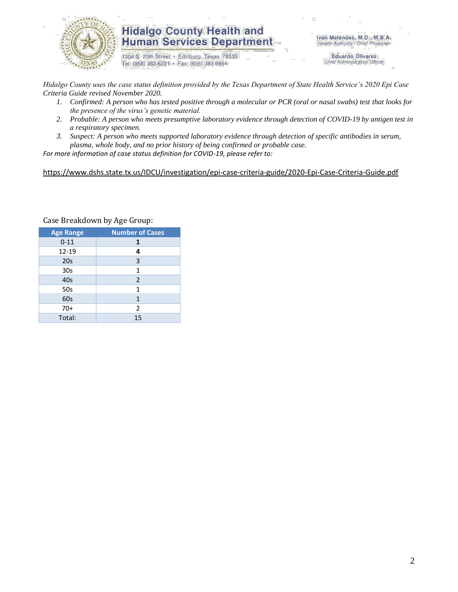

### **Hidalgo County Health and Human Services Department**

1304 S. 25th Street · Edinburg, Texas 78539 Tel: (956) 383-6221 · Fax: (956) 383-8864

Iván Meléndez, M.D., M.B.A. Health Authority / Chief Physician

> **Eduardo Olivarez** Chief Administrative Officer

*Hidalgo County uses the case status definition provided by the Texas Department of State Health Service's 2020 Epi Case Criteria Guide revised November 2020.*

- *1. Confirmed: A person who has tested positive through a molecular or PCR (oral or nasal swabs) test that looks for the presence of the virus's genetic material.*
- *2. Probable: A person who meets presumptive laboratory evidence through detection of COVID-19 by antigen test in a respiratory specimen.*
- *3. Suspect: A person who meets supported laboratory evidence through detection of specific antibodies in serum, plasma, whole body, and no prior history of being confirmed or probable case.*

*For more information of case status definition for COVID-19, please refer to:*

<https://www.dshs.state.tx.us/IDCU/investigation/epi-case-criteria-guide/2020-Epi-Case-Criteria-Guide.pdf>

| <b>Age Range</b> | <b>Number of Cases</b> |  |  |
|------------------|------------------------|--|--|
| $0 - 11$         | 1                      |  |  |
| 12-19            | 4                      |  |  |
| 20s              | 3                      |  |  |
| 30 <sub>s</sub>  | $\mathbf{1}$           |  |  |
| 40s              | $\overline{2}$         |  |  |
| 50s              | 1                      |  |  |
| 60s              | 1                      |  |  |
| $70+$            | $\overline{2}$         |  |  |
| Total:           | 15                     |  |  |

Case Breakdown by Age Group: